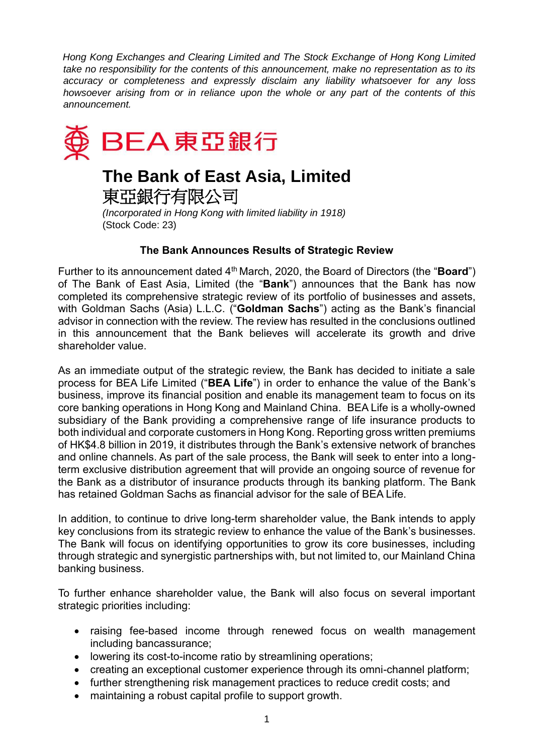*Hong Kong Exchanges and Clearing Limited and The Stock Exchange of Hong Kong Limited take no responsibility for the contents of this announcement, make no representation as to its accuracy or completeness and expressly disclaim any liability whatsoever for any loss howsoever arising from or in reliance upon the whole or any part of the contents of this announcement.* 



## **The Bank of East Asia, Limited**

東亞銀行有限公司

*(Incorporated in Hong Kong with limited liability in 1918)*  (Stock Code: 23)

## **The Bank Announces Results of Strategic Review**

Further to its announcement dated 4<sup>th</sup> March, 2020, the Board of Directors (the "**Board**") of The Bank of East Asia, Limited (the "**Bank**") announces that the Bank has now completed its comprehensive strategic review of its portfolio of businesses and assets, with Goldman Sachs (Asia) L.L.C. ("**Goldman Sachs**") acting as the Bank's financial advisor in connection with the review. The review has resulted in the conclusions outlined in this announcement that the Bank believes will accelerate its growth and drive shareholder value.

As an immediate output of the strategic review, the Bank has decided to initiate a sale process for BEA Life Limited ("**BEA Life**") in order to enhance the value of the Bank's business, improve its financial position and enable its management team to focus on its core banking operations in Hong Kong and Mainland China. BEA Life is a wholly-owned subsidiary of the Bank providing a comprehensive range of life insurance products to both individual and corporate customers in Hong Kong. Reporting gross written premiums of HK\$4.8 billion in 2019, it distributes through the Bank's extensive network of branches and online channels. As part of the sale process, the Bank will seek to enter into a longterm exclusive distribution agreement that will provide an ongoing source of revenue for the Bank as a distributor of insurance products through its banking platform. The Bank has retained Goldman Sachs as financial advisor for the sale of BEA Life.

In addition, to continue to drive long-term shareholder value, the Bank intends to apply key conclusions from its strategic review to enhance the value of the Bank's businesses. The Bank will focus on identifying opportunities to grow its core businesses, including through strategic and synergistic partnerships with, but not limited to, our Mainland China banking business.

To further enhance shareholder value, the Bank will also focus on several important strategic priorities including:

- raising fee-based income through renewed focus on wealth management including bancassurance;
- lowering its cost-to-income ratio by streamlining operations;
- creating an exceptional customer experience through its omni-channel platform;
- further strengthening risk management practices to reduce credit costs; and
- maintaining a robust capital profile to support growth.